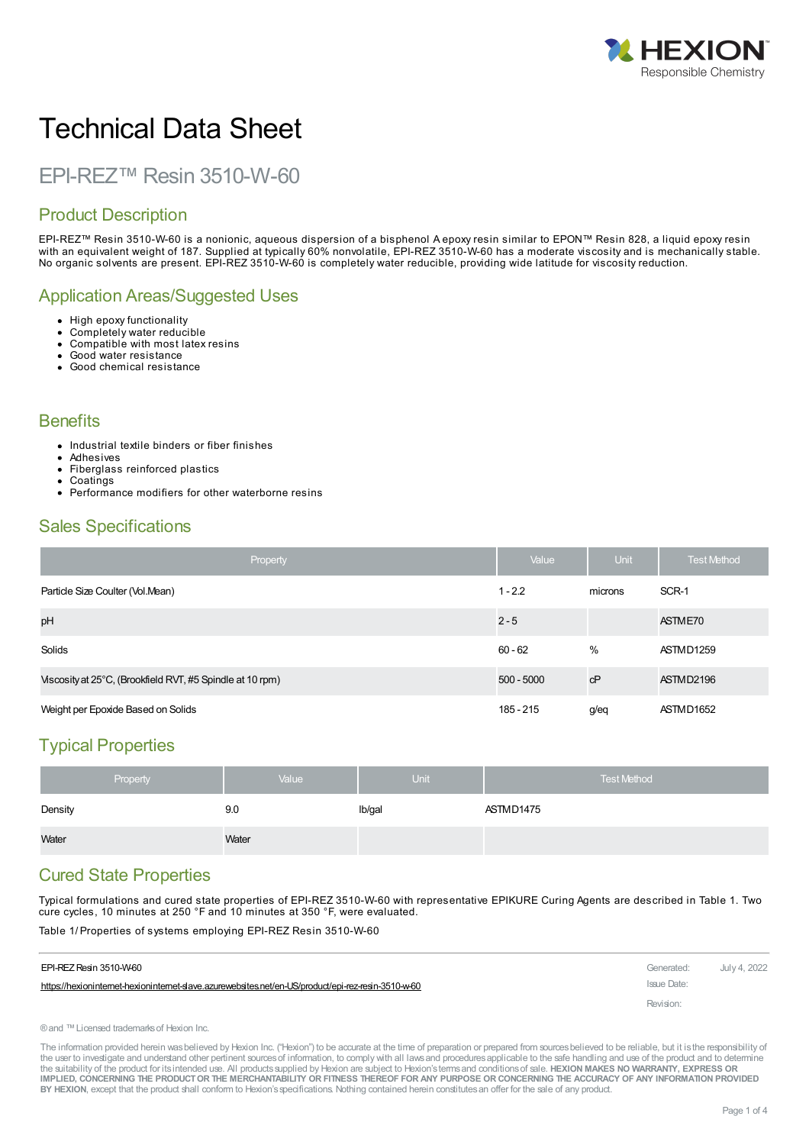

# Technical Data Sheet

# EPI-REZ™ Resin 3510-W-60

# Product Description

EPI-REZ™ Resin 3510-W-60 is a nonionic, aqueous dispersion of a bisphenol A epoxy resin similar to EPON™ Resin 828, a liquid epoxy resin with an equivalent weight of 187. Supplied at typically 60% nonvolatile, EPI-REZ 3510-W-60 has a moderate viscosity and is mechanically stable. No organic solvents are present. EPI-REZ 3510-W-60 is completely water reducible, providing wide latitude for viscosity reduction.

# Application Areas/Suggested Uses

- High epoxy functionality
- Completely water reducible
- Compatible with most latex resins
- Good water resistance Good chemical resistance

#### **Benefits**

- Industrial textile binders or fiber finishes
- Adhesives
- Fiberglass reinforced plastics
- Coatings
- Performance modifiers for other waterborne resins

### Sales Specifications

| Property                                                  | Value        | Unit    | <b>Test Method</b> |
|-----------------------------------------------------------|--------------|---------|--------------------|
| Particle Size Coulter (Vol.Mean)                          | $1 - 2.2$    | microns | SCR-1              |
| pH                                                        | $2 - 5$      |         | ASTME70            |
| Solids                                                    | $60 - 62$    | $\%$    | ASTMD1259          |
| Viscosity at 25°C, (Brookfield RVT, #5 Spindle at 10 rpm) | $500 - 5000$ | cP      | ASTMD2196          |
| Weight per Epoxide Based on Solids                        | 185 - 215    | $g$ /eq | ASTMD1652          |

# Typical Properties

| Property | Value | <b>Unit</b> | <b>Test Method</b> |
|----------|-------|-------------|--------------------|
| Density  | 9.0   | lb/gal      | ASTMD1475          |
| Water    | Water |             |                    |

# Cured State Properties

Typical formulations and cured state properties of EPI-REZ 3510-W-60 with representative EPIKURE Curing Agents are described in Table 1. Two cure cycles, 10 minutes at 250 °F and 10 minutes at 350 °F, were evaluated.

Table 1/ Properties of systems employing EPI-REZ Resin 3510-W-60

| EPI-REZ Resin 3510-W-60                                                                           | Generated:  | July 4, 2022 |
|---------------------------------------------------------------------------------------------------|-------------|--------------|
| https://hexionintemet-hexionintemet-slave.azurewebsites.net/en-US/product/epi-rez-resin-3510-w-60 | Issue Date: |              |
|                                                                                                   | Revision:   |              |

®and ™Licensed trademarksof Hexion Inc.

The information provided herein was believed by Hexion Inc. ("Hexion") to be accurate at the time of preparation or prepared from sources believed to be reliable, but it is the responsibility of the user to investigate and understand other pertinent sources of information, to comply with all laws and procedures applicable to the safe handling and use of the product and to determine the suitability of the product for itsintended use. All productssupplied by Hexion are subject to Hexion'stermsand conditionsof sale. **HEXION MAKES NO WARRANTY, EXPRESS OR** IMPLIED, CONCERNING THE PRODUCT OR THE MERCHANTABILITY OR FITNESS THEREOF FOR ANY PURPOSE OR CONCERNING THE ACCURACY OF ANY INFORMATION PROVIDED **BY HEXION**, except that the product shall conform to Hexion'sspecifications. Nothing contained herein constitutesan offer for the sale of any product.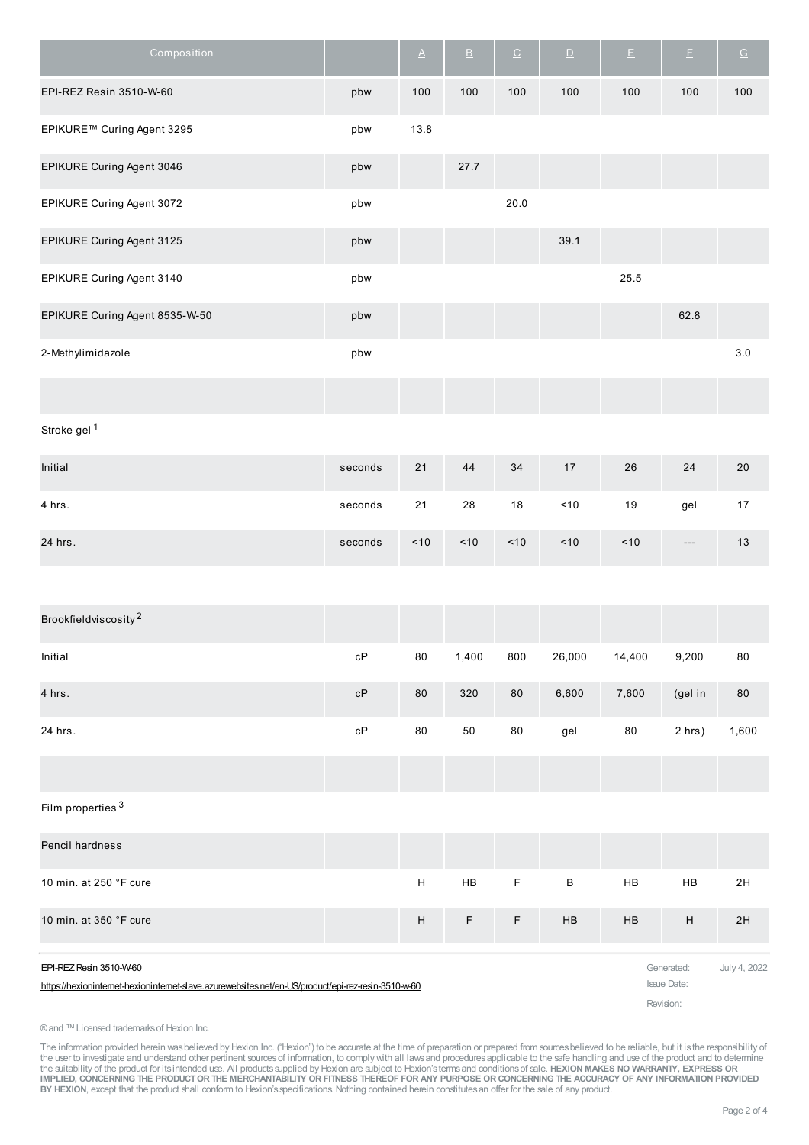| Composition                                                                                                                  |                        | $\underline{\mathsf{A}}$  | $\underline{\mathsf{B}}$ | $\underline{\texttt{C}}$ | $\underline{\mathsf{D}}$ | $\mathsf{E}% _{T}=\mathsf{E}_{T}\left( \mathsf{E}_{T_{0}}\right) ,$ | $\mathsf{E}% _{T}=\mathsf{E}_{T}\left( \mathsf{E}_{T}\right)$ | $\underline{\mathsf{G}}$ |
|------------------------------------------------------------------------------------------------------------------------------|------------------------|---------------------------|--------------------------|--------------------------|--------------------------|---------------------------------------------------------------------|---------------------------------------------------------------|--------------------------|
| EPI-REZ Resin 3510-W-60                                                                                                      | pbw                    | 100                       | 100                      | 100                      | 100                      | 100                                                                 | 100                                                           | 100                      |
| EPIKURE™ Curing Agent 3295                                                                                                   | pbw                    | 13.8                      |                          |                          |                          |                                                                     |                                                               |                          |
| EPIKURE Curing Agent 3046                                                                                                    | pbw                    |                           | 27.7                     |                          |                          |                                                                     |                                                               |                          |
| EPIKURE Curing Agent 3072                                                                                                    | pbw                    |                           |                          | 20.0                     |                          |                                                                     |                                                               |                          |
| EPIKURE Curing Agent 3125                                                                                                    | pbw                    |                           |                          |                          | 39.1                     |                                                                     |                                                               |                          |
| EPIKURE Curing Agent 3140                                                                                                    | pbw                    |                           |                          |                          |                          | 25.5                                                                |                                                               |                          |
| EPIKURE Curing Agent 8535-W-50                                                                                               | pbw                    |                           |                          |                          |                          |                                                                     | 62.8                                                          |                          |
| 2-Methylimidazole                                                                                                            | pbw                    |                           |                          |                          |                          |                                                                     |                                                               | $3.0\,$                  |
|                                                                                                                              |                        |                           |                          |                          |                          |                                                                     |                                                               |                          |
| Stroke gel <sup>1</sup>                                                                                                      |                        |                           |                          |                          |                          |                                                                     |                                                               |                          |
| Initial                                                                                                                      | seconds                | 21                        | 44                       | 34                       | 17                       | 26                                                                  | 24                                                            | 20                       |
| 4 hrs.                                                                                                                       | seconds                | $21$                      | 28                       | $18$                     | ~10                      | 19                                                                  | gel                                                           | $17\,$                   |
| 24 hrs.                                                                                                                      | seconds                | $<10$                     | $<10$                    | $<10$                    | 10                       | ~10                                                                 | $---$                                                         | 13                       |
|                                                                                                                              |                        |                           |                          |                          |                          |                                                                     |                                                               |                          |
| Brookfieldviscosity <sup>2</sup>                                                                                             |                        |                           |                          |                          |                          |                                                                     |                                                               |                          |
| Initial                                                                                                                      | cP                     | 80                        | 1,400                    | 800                      | 26,000                   | 14,400                                                              | 9,200                                                         | ${\bf 80}$               |
| 4 hrs.                                                                                                                       | cP                     | ${\bf 80}$                | 320                      | $80\,$                   | 6,600                    | 7,600                                                               | (gel in                                                       | 80                       |
| 24 hrs.                                                                                                                      | $\mathsf{c}\mathsf{P}$ | 80                        | 50                       | ${\bf 80}$               | gel                      | ${\bf 80}$                                                          | 2 hrs)                                                        | 1,600                    |
|                                                                                                                              |                        |                           |                          |                          |                          |                                                                     |                                                               |                          |
| Film properties <sup>3</sup>                                                                                                 |                        |                           |                          |                          |                          |                                                                     |                                                               |                          |
| Pencil hardness                                                                                                              |                        |                           |                          |                          |                          |                                                                     |                                                               |                          |
| 10 min. at 250 °F cure                                                                                                       |                        | $\boldsymbol{\mathsf{H}}$ | ${\sf HB}$               | $\mathsf F$              | $\sf B$                  | ${\sf HB}$                                                          | HB                                                            | 2H                       |
| 10 min. at 350 °F cure                                                                                                       |                        | $\boldsymbol{\mathsf{H}}$ | F                        | $\mathsf F$              | ${\sf HB}$               | ${\sf HB}$                                                          | $\boldsymbol{\mathsf{H}}$                                     | 2H                       |
| EPI-REZ Resin 3510-W-60<br>https://hexionintemet-hexionintemet-slave.azurewebsites.net/en-US/product/epi-rez-resin-3510-w-60 |                        |                           |                          |                          |                          |                                                                     | Generated:<br><b>Issue Date:</b><br>Revision:                 | July 4, 2022             |

®and ™Licensed trademarksof Hexion Inc.

The information provided herein was believed by Hexion Inc. ("Hexion") to be accurate at the time of preparation or prepared from sources believed to be reliable, but it is the responsibility of<br>the user to investigate and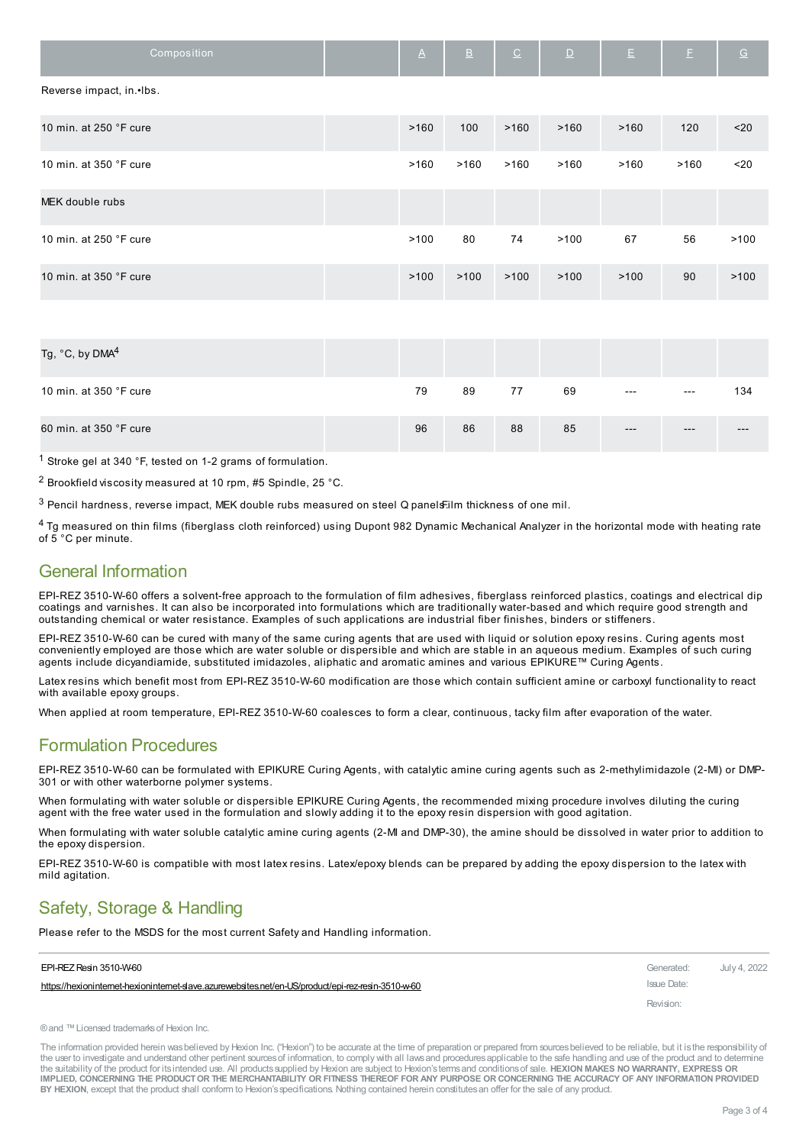| Composition              | $\Delta$ | $\underline{\mathsf{B}}$ | $\underline{\texttt{C}}$ | $\underline{\mathsf{D}}$ | $\mathsf{E}$ | $\mathbb E$ | $\underline{\mathsf{G}}$ |
|--------------------------|----------|--------------------------|--------------------------|--------------------------|--------------|-------------|--------------------------|
| Reverse impact, in.•lbs. |          |                          |                          |                          |              |             |                          |
| 10 min. at 250 °F cure   | >160     | 100                      | >160                     | >160                     | >160         | 120         | $20$                     |
| 10 min. at 350 °F cure   | >160     | >160                     | >160                     | >160                     | >160         | >160        | $20$                     |
| MEK double rubs          |          |                          |                          |                          |              |             |                          |
| 10 min. at 250 °F cure   | >100     | 80                       | 74                       | >100                     | 67           | 56          | >100                     |
| 10 min. at 350 °F cure   | >100     | >100                     | >100                     | >100                     | >100         | 90          | >100                     |

| Tg, $^{\circ}$ C, by DMA $^4$   |    |    |    |    |                   |       |       |
|---------------------------------|----|----|----|----|-------------------|-------|-------|
| 10 min. at 350 $\degree$ F cure | 79 | 89 | 77 | 69 | $\qquad \qquad -$ | $---$ | 134   |
| 60 min. at 350 °F cure          | 96 | 86 | 88 | 85 | $---$             | $---$ | $---$ |

1 Stroke gel at 340 °F, tested on 1-2 grams of formulation.

2 Brookfield viscosity measured at 10 rpm, #5 Spindle, 25 °C.

 $3$  Pencil hardness, reverse impact, MEK double rubs measured on steel Q panelsFilm thickness of one mil.

4 Tg measured on thin films (fiberglass cloth reinforced) using Dupont 982 Dynamic Mechanical Analyzer in the horizontal mode with heating rate of 5 °C per minute.

#### General Information

EPI-REZ 3510-W-60 offers a solvent-free approach to the formulation of film adhesives, fiberglass reinforced plastics, coatings and electrical dip coatings and varnishes. It can also be incorporated into formulations which are traditionally water-based and which require good strength and outstanding chemical or water resistance. Examples of such applications are industrial fiber finishes, binders or stiffeners.

EPI-REZ 3510-W-60 can be cured with many of the same curing agents that are used with liquid or solution epoxy resins. Curing agents most conveniently employed are those which are water soluble or dispersible and which are stable in an aqueous medium. Examples of such curing agents include dicyandiamide, substituted imidazoles, aliphatic and aromatic amines and various EPIKURE™ Curing Agents.

Latex resins which benefit most from EPI-REZ 3510-W-60 modification are those which contain sufficient amine or carboxyl functionality to react with available epoxy groups.

When applied at room temperature, EPI-REZ 3510-W-60 coalesces to form a clear, continuous, tacky film after evaporation of the water.

#### Formulation Procedures

EPI-REZ 3510-W-60 can be formulated with EPIKURE Curing Agents, with catalytic amine curing agents such as 2-methylimidazole (2-MI) or DMP-301 or with other waterborne polymer systems.

When formulating with water soluble or dispersible EPIKURE Curing Agents, the recommended mixing procedure involves diluting the curing agent with the free water used in the formulation and slowly adding it to the epoxy resin dispersion with good agitation.

When formulating with water soluble catalytic amine curing agents (2-MI and DMP-30), the amine should be dissolved in water prior to addition to the epoxy dispersion.

EPI-REZ 3510-W-60 is compatible with most latex resins. Latex/epoxy blends can be prepared by adding the epoxy dispersion to the latex with mild agitation.

# Safety, Storage & Handling

Please refer to the MSDS for the most current Safety and Handling information.

| EPI-REZ Resin 3510-W-60                                                                           | Generated:  | July 4, 2022 |
|---------------------------------------------------------------------------------------------------|-------------|--------------|
| https://hexionintemet-hexionintemet-slave.azurewebsites.net/en-US/product/epi-rez-resin-3510-w-60 | Issue Date: |              |
|                                                                                                   | Revision:   |              |

```
®and ™Licensed trademarks of Hexion Inc.
```
The information provided herein was believed by Hexion Inc. ("Hexion") to be accurate at the time of preparation or prepared from sources believed to be reliable, but it is the responsibility of the user to investigate and understand other pertinent sources of information, to comply with all laws and procedures applicable to the safe handling and use of the product and to determine the suitability of the product for itsintended use. All productssupplied by Hexion are subject to Hexion'stermsand conditionsof sale. **HEXION MAKES NO WARRANTY, EXPRESS OR** IMPLIED, CONCERNING THE PRODUCT OR THE MERCHANTABILITY OR FITNESS THEREOF FOR ANY PURPOSE OR CONCERNING THE ACCURACY OF ANY INFORMATION PROVIDED **BY HEXION**, except that the product shall conform to Hexion'sspecifications. Nothing contained herein constitutesan offer for the sale of any product.